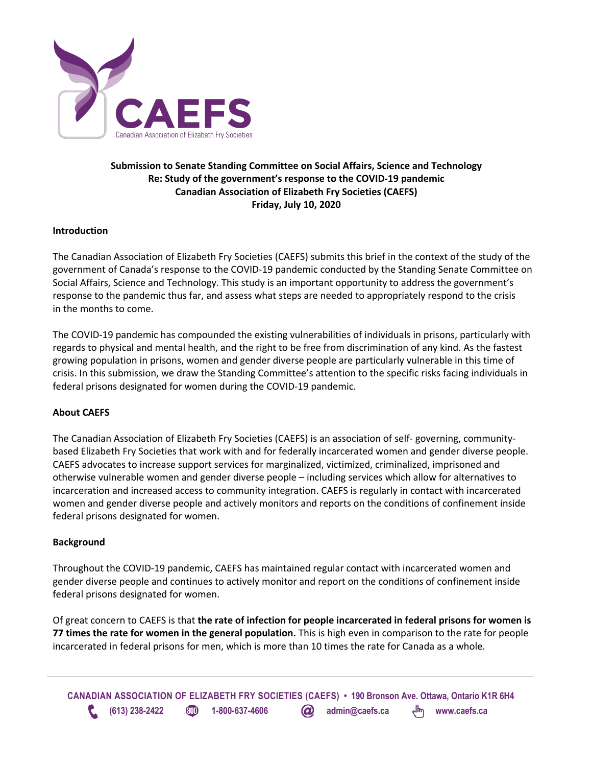

# **Submission to Senate Standing Committee on Social Affairs, Science and Technology Re: Study of the government's response to the COVID-19 pandemic Canadian Association of Elizabeth Fry Societies (CAEFS) Friday, July 10, 2020**

## **Introduction**

The Canadian Association of Elizabeth Fry Societies (CAEFS) submits this brief in the context of the study of the government of Canada's response to the COVID-19 pandemic conducted by the Standing Senate Committee on Social Affairs, Science and Technology. This study is an important opportunity to address the government's response to the pandemic thus far, and assess what steps are needed to appropriately respond to the crisis in the months to come.

The COVID-19 pandemic has compounded the existing vulnerabilities of individuals in prisons, particularly with regards to physical and mental health, and the right to be free from discrimination of any kind. As the fastest growing population in prisons, women and gender diverse people are particularly vulnerable in this time of crisis. In this submission, we draw the Standing Committee's attention to the specific risks facing individuals in federal prisons designated for women during the COVID-19 pandemic.

## **About CAEFS**

The Canadian Association of Elizabeth Fry Societies (CAEFS) is an association of self- governing, communitybased Elizabeth Fry Societies that work with and for federally incarcerated women and gender diverse people. CAEFS advocates to increase support services for marginalized, victimized, criminalized, imprisoned and otherwise vulnerable women and gender diverse people – including services which allow for alternatives to incarceration and increased access to community integration. CAEFS is regularly in contact with incarcerated women and gender diverse people and actively monitors and reports on the conditions of confinement inside federal prisons designated for women.

## **Background**

Throughout the COVID-19 pandemic, CAEFS has maintained regular contact with incarcerated women and gender diverse people and continues to actively monitor and report on the conditions of confinement inside federal prisons designated for women.

Of great concern to CAEFS is that **the rate of infection for people incarcerated in federal prisons for women is 77 times the rate for women in the general population.** This is high even in comparison to the rate for people incarcerated in federal prisons for men, which is more than 10 times the rate for Canada as a whole.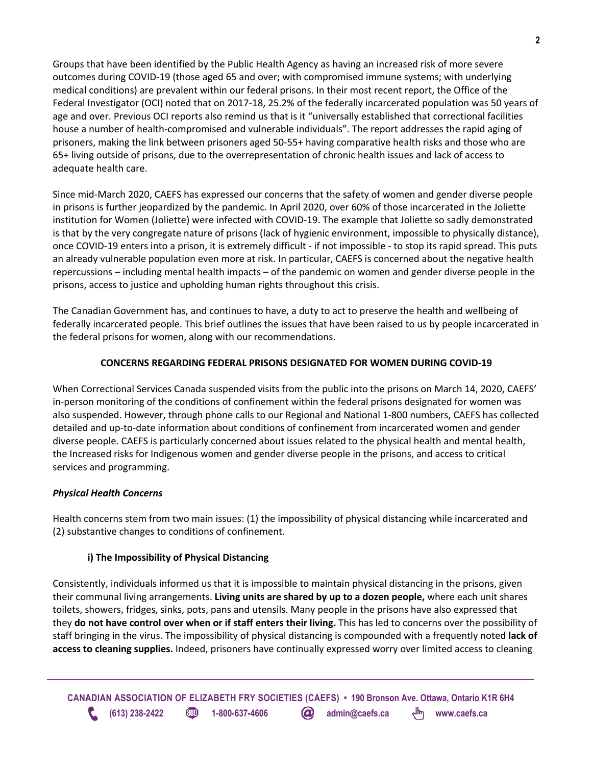Groups that have been identified by the Public Health Agency as having an increased risk of more severe outcomes during COVID-19 (those aged 65 and over; with compromised immune systems; with underlying medical conditions) are prevalent within our federal prisons. In their most recent report, the Office of the Federal Investigator (OCI) noted that on 2017-18, 25.2% of the federally incarcerated population was 50 years of age and over. Previous OCI reports also remind us that is it "universally established that correctional facilities house a number of health-compromised and vulnerable individuals". The report addresses the rapid aging of prisoners, making the link between prisoners aged 50-55+ having comparative health risks and those who are 65+ living outside of prisons, due to the overrepresentation of chronic health issues and lack of access to adequate health care.

Since mid-March 2020, CAEFS has expressed our concerns that the safety of women and gender diverse people in prisons is further jeopardized by the pandemic. In April 2020, over 60% of those incarcerated in the Joliette institution for Women (Joliette) were infected with COVID-19. The example that Joliette so sadly demonstrated is that by the very congregate nature of prisons (lack of hygienic environment, impossible to physically distance), once COVID-19 enters into a prison, it is extremely difficult - if not impossible - to stop its rapid spread. This puts an already vulnerable population even more at risk. In particular, CAEFS is concerned about the negative health repercussions – including mental health impacts – of the pandemic on women and gender diverse people in the prisons, access to justice and upholding human rights throughout this crisis.

The Canadian Government has, and continues to have, a duty to act to preserve the health and wellbeing of federally incarcerated people. This brief outlines the issues that have been raised to us by people incarcerated in the federal prisons for women, along with our recommendations.

# **CONCERNS REGARDING FEDERAL PRISONS DESIGNATED FOR WOMEN DURING COVID-19**

When Correctional Services Canada suspended visits from the public into the prisons on March 14, 2020, CAEFS' in-person monitoring of the conditions of confinement within the federal prisons designated for women was also suspended. However, through phone calls to our Regional and National 1-800 numbers, CAEFS has collected detailed and up-to-date information about conditions of confinement from incarcerated women and gender diverse people. CAEFS is particularly concerned about issues related to the physical health and mental health, the Increased risks for Indigenous women and gender diverse people in the prisons, and access to critical services and programming.

# *Physical Health Concerns*

Health concerns stem from two main issues: (1) the impossibility of physical distancing while incarcerated and (2) substantive changes to conditions of confinement.

# **i) The Impossibility of Physical Distancing**

Consistently, individuals informed us that it is impossible to maintain physical distancing in the prisons, given their communal living arrangements. **Living units are shared by up to a dozen people,** where each unit shares toilets, showers, fridges, sinks, pots, pans and utensils. Many people in the prisons have also expressed that they **do not have control over when or if staff enters their living.** This has led to concerns over the possibility of staff bringing in the virus. The impossibility of physical distancing is compounded with a frequently noted **lack of access to cleaning supplies.** Indeed, prisoners have continually expressed worry over limited access to cleaning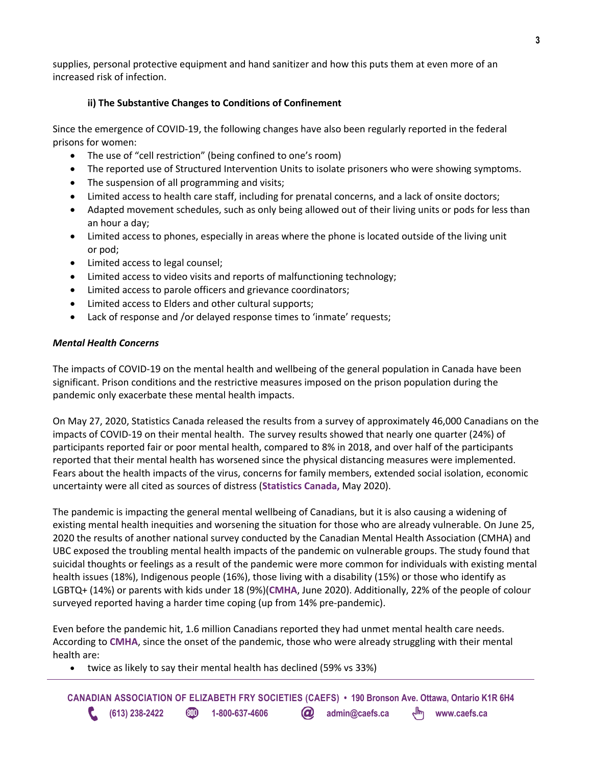supplies, personal protective equipment and hand sanitizer and how this puts them at even more of an increased risk of infection.

## **ii) The Substantive Changes to Conditions of Confinement**

Since the emergence of COVID-19, the following changes have also been regularly reported in the federal prisons for women:

- The use of "cell restriction" (being confined to one's room)
- The reported use of Structured Intervention Units to isolate prisoners who were showing symptoms.
- The suspension of all programming and visits;
- Limited access to health care staff, including for prenatal concerns, and a lack of onsite doctors;
- Adapted movement schedules, such as only being allowed out of their living units or pods for less than an hour a day;
- Limited access to phones, especially in areas where the phone is located outside of the living unit or pod;
- Limited access to legal counsel;
- Limited access to video visits and reports of malfunctioning technology;
- Limited access to parole officers and grievance coordinators;
- Limited access to Elders and other cultural supports;
- Lack of response and /or delayed response times to 'inmate' requests;

### *Mental Health Concerns*

The impacts of COVID-19 on the mental health and wellbeing of the general population in Canada have been significant. Prison conditions and the restrictive measures imposed on the prison population during the pandemic only exacerbate these mental health impacts.

On May 27, 2020, Statistics Canada released the results from a survey of approximately 46,000 Canadians on the impacts of COVID-19 on their mental health. The survey results showed that nearly one quarter (24%) of participants reported fair or poor mental health, compared to 8% in 2018, and over half of the participants reported that their mental health has worsened since the physical distancing measures were implemented. Fears about the health impacts of the virus, concerns for family members, extended social isolation, economic uncertainty were all cited as sources of distress (**Statistics Canada,** May 2020).

The pandemic is impacting the general mental wellbeing of Canadians, but it is also causing a widening of existing mental health inequities and worsening the situation for those who are already vulnerable. On June 25, 2020 the results of another national survey conducted by the Canadian Mental Health Association (CMHA) and UBC exposed the troubling mental health impacts of the pandemic on vulnerable groups. The study found that suicidal thoughts or feelings as a result of the pandemic were more common for individuals with existing mental health issues (18%), Indigenous people (16%), those living with a disability (15%) or those who identify as LGBTQ+ (14%) or parents with kids under 18 (9%)(**CMHA**, June 2020). Additionally, 22% of the people of colour surveyed reported having a harder time coping (up from 14% pre-pandemic).

Even before the pandemic hit, 1.6 million Canadians reported they had unmet mental health care needs. According to **CMHA**, since the onset of the pandemic, those who were already struggling with their mental health are:

• twice as likely to say their mental health has declined (59% vs 33%)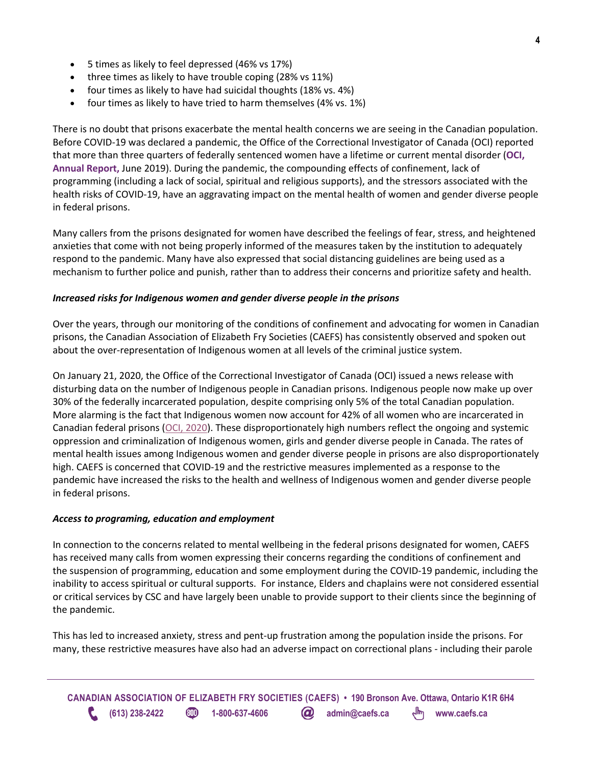- 5 times as likely to feel depressed (46% vs 17%)
- three times as likely to have trouble coping (28% vs 11%)
- four times as likely to have had suicidal thoughts (18% vs. 4%)
- four times as likely to have tried to harm themselves (4% vs. 1%)

There is no doubt that prisons exacerbate the mental health concerns we are seeing in the Canadian population. Before COVID-19 was declared a pandemic, the Office of the Correctional Investigator of Canada (OCI) reported that more than three quarters of federally sentenced women have a lifetime or current mental disorder (**OCI, Annual Report,** June 2019). During the pandemic, the compounding effects of confinement, lack of programming (including a lack of social, spiritual and religious supports), and the stressors associated with the health risks of COVID-19, have an aggravating impact on the mental health of women and gender diverse people in federal prisons.

Many callers from the prisons designated for women have described the feelings of fear, stress, and heightened anxieties that come with not being properly informed of the measures taken by the institution to adequately respond to the pandemic. Many have also expressed that social distancing guidelines are being used as a mechanism to further police and punish, rather than to address their concerns and prioritize safety and health.

### *Increased risks for Indigenous women and gender diverse people in the prisons*

Over the years, through our monitoring of the conditions of confinement and advocating for women in Canadian prisons, the Canadian Association of Elizabeth Fry Societies (CAEFS) has consistently observed and spoken out about the over-representation of Indigenous women at all levels of the criminal justice system.

On January 21, 2020, the Office of the Correctional Investigator of Canada (OCI) issued a news release with disturbing data on the number of Indigenous people in Canadian prisons. Indigenous people now make up over 30% of the federally incarcerated population, despite comprising only 5% of the total Canadian population. More alarming is the fact that Indigenous women now account for 42% of all women who are incarcerated in Canadian federal prisons (OCI, 2020). These disproportionately high numbers reflect the ongoing and systemic oppression and criminalization of Indigenous women, girls and gender diverse people in Canada. The rates of mental health issues among Indigenous women and gender diverse people in prisons are also disproportionately high. CAEFS is concerned that COVID-19 and the restrictive measures implemented as a response to the pandemic have increased the risks to the health and wellness of Indigenous women and gender diverse people in federal prisons.

#### *Access to programing, education and employment*

In connection to the concerns related to mental wellbeing in the federal prisons designated for women, CAEFS has received many calls from women expressing their concerns regarding the conditions of confinement and the suspension of programming, education and some employment during the COVID-19 pandemic, including the inability to access spiritual or cultural supports. For instance, Elders and chaplains were not considered essential or critical services by CSC and have largely been unable to provide support to their clients since the beginning of the pandemic.

This has led to increased anxiety, stress and pent-up frustration among the population inside the prisons. For many, these restrictive measures have also had an adverse impact on correctional plans - including their parole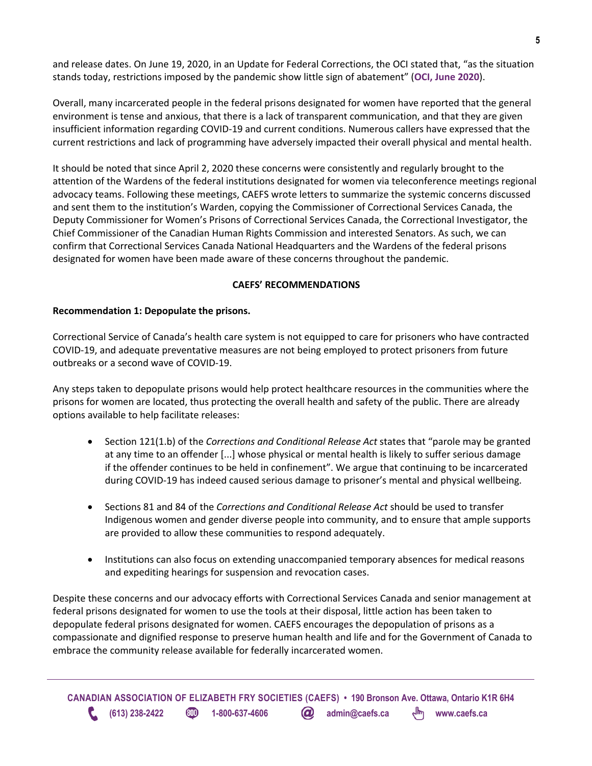and release dates. On June 19, 2020, in an Update for Federal Corrections, the OCI stated that, "as the situation stands today, restrictions imposed by the pandemic show little sign of abatement" (**OCI, June 2020**).

Overall, many incarcerated people in the federal prisons designated for women have reported that the general environment is tense and anxious, that there is a lack of transparent communication, and that they are given insufficient information regarding COVID-19 and current conditions. Numerous callers have expressed that the current restrictions and lack of programming have adversely impacted their overall physical and mental health.

It should be noted that since April 2, 2020 these concerns were consistently and regularly brought to the attention of the Wardens of the federal institutions designated for women via teleconference meetings regional advocacy teams. Following these meetings, CAEFS wrote letters to summarize the systemic concerns discussed and sent them to the institution's Warden, copying the Commissioner of Correctional Services Canada, the Deputy Commissioner for Women's Prisons of Correctional Services Canada, the Correctional Investigator, the Chief Commissioner of the Canadian Human Rights Commission and interested Senators. As such, we can confirm that Correctional Services Canada National Headquarters and the Wardens of the federal prisons designated for women have been made aware of these concerns throughout the pandemic.

## **CAEFS' RECOMMENDATIONS**

### **Recommendation 1: Depopulate the prisons.**

Correctional Service of Canada's health care system is not equipped to care for prisoners who have contracted COVID-19, and adequate preventative measures are not being employed to protect prisoners from future outbreaks or a second wave of COVID-19.

Any steps taken to depopulate prisons would help protect healthcare resources in the communities where the prisons for women are located, thus protecting the overall health and safety of the public. There are already options available to help facilitate releases:

- Section 121(1.b) of the *Corrections and Conditional Release Act* states that "parole may be granted at any time to an offender [...] whose physical or mental health is likely to suffer serious damage if the offender continues to be held in confinement". We argue that continuing to be incarcerated during COVID-19 has indeed caused serious damage to prisoner's mental and physical wellbeing.
- Sections 81 and 84 of the *Corrections and Conditional Release Act* should be used to transfer Indigenous women and gender diverse people into community, and to ensure that ample supports are provided to allow these communities to respond adequately.
- Institutions can also focus on extending unaccompanied temporary absences for medical reasons and expediting hearings for suspension and revocation cases.

Despite these concerns and our advocacy efforts with Correctional Services Canada and senior management at federal prisons designated for women to use the tools at their disposal, little action has been taken to depopulate federal prisons designated for women. CAEFS encourages the depopulation of prisons as a compassionate and dignified response to preserve human health and life and for the Government of Canada to embrace the community release available for federally incarcerated women.